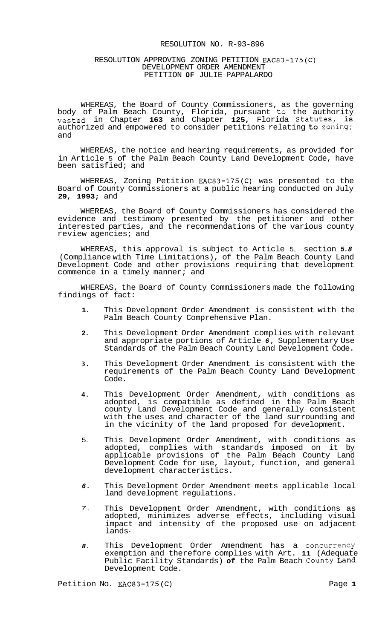## RESOLUTION NO. R-93-896

## RESOLUTION APPROVING ZONING PETITION EAC83-175(C) DEVELOPMENT ORDER AMENDMENT PETITION **OF** JULIE PAPPALARDO

WHEREAS, the Board of County Commissioners, as the governing body of Palm Beach County, Florida, pursuant to the authority vested in Chapter **163** and Chapter **125,** Florida Statutes, is authorized and empowered to consider petitions relating to zoning; and

WHEREAS, the notice and hearing requirements, as provided for in Article 5 of the Palm Beach County Land Development Code, have been satisfied; and

WHEREAS, Zoning Petition EAC83-175(C) was presented to the Board of County Commissioners at a public hearing conducted on July **29, 1993;** and

WHEREAS, the Board of County Commissioners has considered the evidence and testimony presented by the petitioner and other interested parties, and the recommendations of the various county review agencies; and

WHEREAS, this approval is subject to Article 5, section *5.8*  (Compliance with Time Limitations), of the Palm Beach County Land Development Code and other provisions requiring that development commence in a timely manner; and

WHEREAS, the Board of County Commissioners made the following findings of fact:

- **1.**  This Development Order Amendment is consistent with the Palm Beach County Comprehensive Plan.
- **2.**  This Development Order Amendment complies with relevant and appropriate portions of Article *6,* Supplementary Use Standards of the Palm Beach County Land Development Code.
- **3.**  This Development Order Amendment is consistent with the requirements of the Palm Beach County Land Development Code.
- **4.**  This Development Order Amendment, with conditions as adopted, is compatible as defined in the Palm Beach county Land Development Code and generally consistent with the uses and character of the land surrounding and in the vicinity of the land proposed for development.
- 5. This Development Order Amendment, with conditions as adopted, complies with standards imposed on it by applicable provisions of the Palm Beach County Land Development Code for use, layout, function, and general development characteristics.
- *6.*  This Development Order Amendment meets applicable local land development regulations.
- *7.*  This Development Order Amendment, with conditions as adopted, minimizes adverse effects, including visual impact and intensity of the proposed use on adjacent lands-
- *8.*  This Development Order Amendment has a Concurrency exemption and therefore complies with Art. **11** (Adequate Public Facility Standards) **of** the Palm Beach County Land Development Code.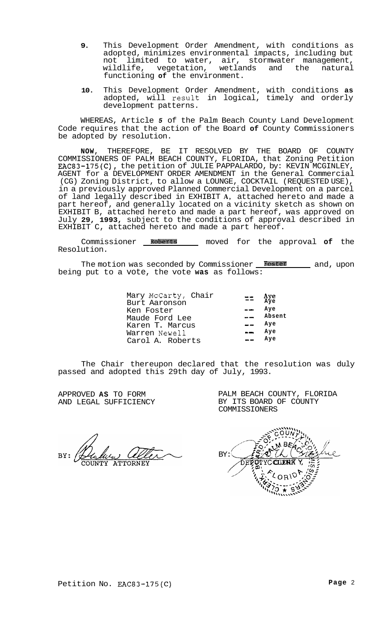- **9.** This Development Order Amendment, with conditions as adopted, minimizes environmental impacts, including but not limited to water, air, stormwater management,<br>wildlife, vegetation, wetlands and the natural wildlife, vegetation, functioning **of** the environment.
- **10.** This Development Order Amendment, with conditions **as**  adopted, will resuit in logical, timely and orderly development patterns.

WHEREAS, Article *5* of the Palm Beach County Land Development Code requires that the action of the Board **of** County Commissioners be adopted by resolution.

**NOW,** THEREFORE, BE IT RESOLVED BY THE BOARD OF COUNTY COMMISSIONERS OF PALM BEACH COUNTY, FLORIDA, that Zoning Petition EAC83-175(C), the petition of JULIE PAPPALARDO, by: KEVIN MCGINLEY, AGENT for a DEVELOPMENT ORDER AMENDMENT in the General Commercial (CG) Zoning District, to allow a LOUNGE, COCKTAIL (REQUESTED USE), in a previously approved Planned Commercial Development on a parcel of land legally described in EXHIBIT **A,** attached hereto and made a part hereof, and generally located on a vicinity sketch as shown on EXHIBIT B, attached hereto and made a part hereof, was approved on July **29, 1993,** subject to the conditions of approval described in EXHIBIT C, attached hereto and made a part hereof.

Commissioner **Roberts** moved for the approval **of** the Resolution.

The motion was seconded by Commissioner **Foster** 2016, upon being put to a vote, the vote **was** as follows:

| Mary McCarty, Chair | Aye<br>Aye |
|---------------------|------------|
| Burt Aaronson       |            |
| Ken Foster          | Ave        |
| Maude Ford Lee      | Absent     |
| Karen T. Marcus     | Ave        |
| Warren Newell       | Aye        |
| Carol A. Roberts    | Ave        |
|                     |            |

The Chair thereupon declared that the resolution was duly passed and adopted this 29th day of July, 1993.

APPROVED **AS** TO FORM AND LEGAL SUFFICIENCY PALM BEACH COUNTY, FLORIDA BY ITS BOARD OF COUNTY COMMISSIONERS

**ATTORNEY** 

BY: ice. /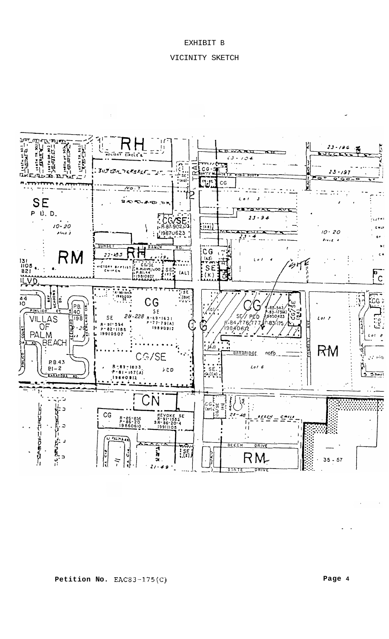# EXHIBIT B

## VICINITY SKETCH



**Page 4** 

..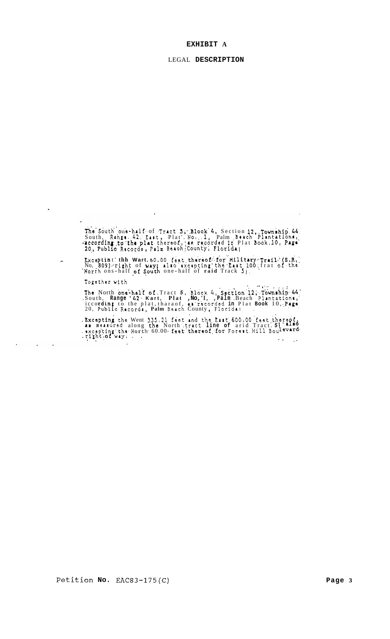## **EXHIBIT A**

#### LEGAL **DESCRIPTION**

The South one-half of Tract 5;\*.Blook'4, Section 12,..Township.44. .<br>South, Range<sub>: 4</sub>42; *East*, Plat'. No.. 1, Palm Beach Plantations, .accordin to,thr **plat thoreof,;rR rr,aord+d** *fc* Plat **Bcmk,lO, Papa 20., Pub1** *f* a **Racor;da** , **Palm** BarchlCounty; **Florida1** ..

 $\ddot{\phantom{a}}$ 

Exceptint the Wart. 60.00 feat thereof for Military Trail (S.R. No. 809) right of way also excepting the East 100 frat of the North ons-half of South one-half of raid Track 5;

**Topethrr** with

 $\mathbb{R}^2$ 

?ha North **onelhalf of** .Tract *5,* **Eloc~** *4,* **'Sact'ion'l2;..Tounrhip~44.'**  .South, **Range** *42.* **Kart, Plat ,No,** 'I, **,Palm** .Beach Plrntatioria,' 20, Publfc Racordr, **Palm** Beach County ,. Florida; . iccordin to the plat, tharaof, **aw.** recorded **in** Plat **Book** 10, **.,PAge,**  . .. ,. . . . . . -

. Excepting the Went 335,21 feet and the Kart 600,00 feet thereof, . rikht **:of way;** . . **ax measured along the North tract line of arid Tract. 5 . rxcepting** the North 60.00- faat' tharaof. for Forent. Hill Bou**a.** .\_ \_.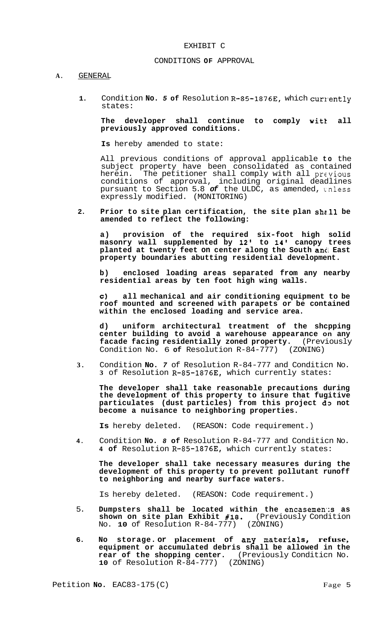## EXHIBIT C

## CONDITIONS **OF** APPROVAL

#### **A.** GENERAL

1. Condition No. 5 of Resolution R-85-1876E, which currently states:

**The developer shall continue to comply witt all previously approved conditions.** 

**Is** hereby amended to state:

All previous conditions of approval applicable **to** the subject property have been consolidated as contained herein. The petitioner shall comply with all previous conditions of approval, including original deadlines pursuant to Section 5.8 *of* the ULDC, as amended, tnless expressly modified. (MONITORING)

2. Prior to site plan certification, the site plan shall be **amended to reflect the following:** 

**a) provision of the required six-foot high solid masonry wall supplemented by 12' to 14' canopy trees planted at twenty feet on center along the South ancI East property boundaries abutting residential development.** 

**b) enclosed loading areas separated from any nearby residential areas by ten foot high wing walls.** 

*c)* **all mechanical and air conditioning equipment to be roof mounted and screened with parapets or be contained within the enclosed loading and service area.** 

**d) uniform architectural treatment of the shcpping center building to avoid a warehouse appearance on any facade facing residentially zoned property.** (Previously Condition No. 6 of Resolution R-84-777) (ZONING) Condition No. 6 of Resolution R-84-777)

**3.** Condition **No.** *7* of Resolution R-84-777 and Conditicn No. **3** of Resolution R-85-1876E, which currently states:

**The developer shall take reasonable precautions during the development of this property to insure that fugitive particulates (dust particles) from this project d3 not become a nuisance to neighboring properties.** 

**Is** hereby deleted. (REASON: Code requirement.)

**4.** Condition **No.** *8* **of** Resolution R-84-777 and Conditicn No. **4 of** Resolution R-85-1876E, which currently states:

**The developer shall take necessary measures during the development of this property to prevent pollutant runoff to neighboring and nearby surface waters.** 

Is hereby deleted. (REASON: Code requirement.)

- 5. **Dumpsters shall be located within the encasemen'x as shown on site plan Exhibit #18.** (Previously Condition No. **10** of Resolution R-84-777) (ZONING)
- 6. No storage. or placement of any materials, refuse, **equipment or accumulated debris shall be allowed in the rear of the shopping center.** (Previously Conditicn No. **10** of Resolution R-84-777) (ZONING)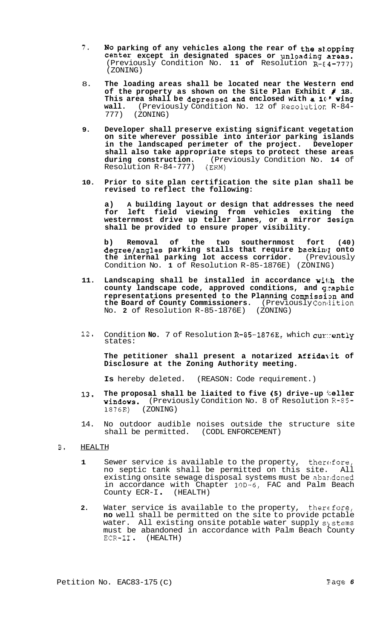- 7. **NO parking of any vehicles along the rear of the s1,opping center except in designated spaces or unloading areas.**   $(Previously Condition No. 11 of Resolution R- $\{4-777\}$ )$ (ZONING)
- 8. **The loading areas shall be located near the Western end of the property as shown on the Site Plan Exhibit** # **18.**  This area shall be depressed and enclosed with a 10' wing **wall.** (Previously Condition No. 12 of Resolutior R-84- 777) (ZONING)
- **9. Developer shall preserve existing significant vegetation on site wherever possible into interior parking islands in the landscaped perimeter of the project. Developer shall also take appropriate steps to protect these areas during construction.** (Previously Condition No. **14** of Resolution R-84-777)
- **10. Prior to site plan certification the site plan shall be revised to reflect the following:**

**a) A building layout or design that addresses the need for left field viewing from vehicles exiting the**  westernmost drive up teller lanes, or a mirror *iesign* **shall be provided to ensure proper visibility.** 

**b) Removal of the two southernmost fort (40) degree/angles parking stalls that require backing onto the internal parking lot access corridor.** (Previously Condition No. **1** of Resolution R-85-1876E) (ZONING)

- **11. Landscaping shall be installed in accordance wil:h the county landscape code, approved conditions, and g,caphic representations presented to the Planning Commissim and the Board of County Commissioners.** (Previously Conllition No. **2** of Resolution R-85-1876E) (ZONING)
- 12. Condition **No.** 7 of Resolution R-85-1876E, which cur::ently states:

The petitioner shall present a notarized Affidavit of **Disclosure at the Zoning Authority meeting.** 

**Is** hereby deleted. (REASON: Code requirement.)

- **13. The proposal shall be liaited to five** *(5)* **drive-up l:eller windows.** (Previously Condition No. 8 of Resolution R-85- 1876E) (ZONING)
- 14. No outdoor audible noises outside the structure site shall be permitted. (CODL ENFORCEMENT)
- **B.** HEALTH
	- **1** Sewer service is available to the property, therefore, no septic tank shall be permitted on this site. All existing onsite sewage disposal systems must be abaridoned in accordance with Chapter 10D-6, FAC and Palm Beach County ECR-I . (HEALTH)
	- 2. Water service is available to the property, therefore, **no** well shall be permitted on the site to provide pctable water. All existing onsite potable water supply systems must be abandoned in accordance with Palm Beach County ECR-I1 . (HEALTH)